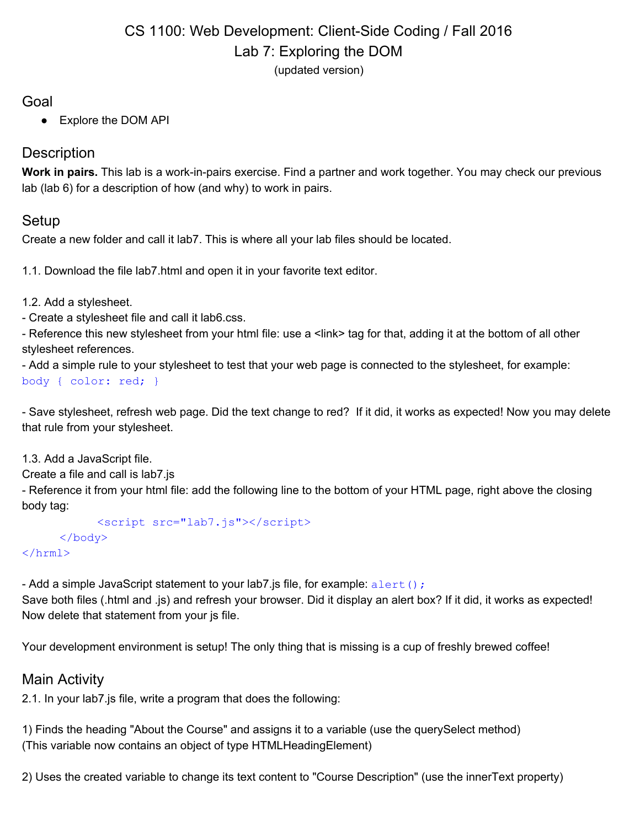## CS 1100: Web Development: Client-Side Coding / Fall 2016 Lab 7: Exploring the DOM (updated version)

#### Goal

● Explore the DOM API

## **Description**

**Work in pairs.** This lab is a work-in-pairs exercise. Find a partner and work together. You may check our previous lab (lab 6) for a description of how (and why) to work in pairs.

### Setup

Create a new folder and call it lab7. This is where all your lab files should be located.

1.1. Download the file lab7.html and open it in your favorite text editor.

1.2. Add a stylesheet.

- Create a stylesheet file and call it lab6.css.

- Reference this new stylesheet from your html file: use a <link> tag for that, adding it at the bottom of all other stylesheet references.

- Add a simple rule to your stylesheet to test that your web page is connected to the stylesheet, for example:

body { color: red; }

- Save stylesheet, refresh web page. Did the text change to red? If it did, it works as expected! Now you may delete that rule from your stylesheet.

1.3. Add a JavaScript file.

Create a file and call is lab7.js

- Reference it from your html file: add the following line to the bottom of your HTML page, right above the closing body tag:

<script src="lab7.js"></script> </body>

</hrml>

- Add a simple JavaScript statement to your lab7. is file, for example:  $a$ lert();

Save both files (.html and .js) and refresh your browser. Did it display an alert box? If it did, it works as expected! Now delete that statement from your js file.

Your development environment is setup! The only thing that is missing is a cup of freshly brewed coffee!

# Main Activity

2.1. In your lab7.js file, write a program that does the following:

1) Finds the heading "About the Course" and assigns it to a variable (use the querySelect method) (This variable now contains an object of type HTMLHeadingElement)

2) Uses the created variable to change its text content to "Course Description" (use the innerText property)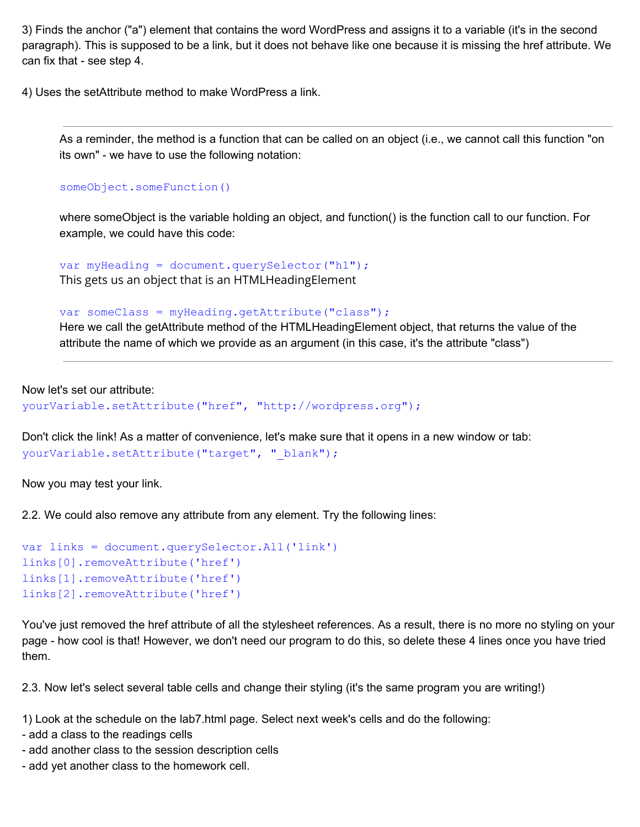3) Finds the anchor ("a") element that contains the word WordPress and assigns it to a variable (it's in the second paragraph). This is supposed to be a link, but it does not behave like one because it is missing the href attribute. We can fix that - see step 4.

4) Uses the setAttribute method to make WordPress a link.

As a reminder, the method is a function that can be called on an object (i.e., we cannot call this function "on its own" - we have to use the following notation:

```
someObject.someFunction()
```
where someObject is the variable holding an object, and function() is the function call to our function. For example, we could have this code:

var myHeading = document.querySelector("h1"); This gets us an object that is an HTMLHeadingElement

var someClass = myHeading.getAttribute("class");

Here we call the getAttribute method of the HTMLHeadingElement object, that returns the value of the attribute the name of which we provide as an argument (in this case, it's the attribute "class")

Now let's set our attribute:

yourVariable.setAttribute("href", "http://wordpress.org");

Don't click the link! As a matter of convenience, let's make sure that it opens in a new window or tab: yourVariable.setAttribute("target", "\_blank");

Now you may test your link.

2.2. We could also remove any attribute from any element. Try the following lines:

```
var links = document.querySelector.All('link')
links[0].removeAttribute('href')
links[1].removeAttribute('href')
links[2].removeAttribute('href')
```
You've just removed the href attribute of all the stylesheet references. As a result, there is no more no styling on your page - how cool is that! However, we don't need our program to do this, so delete these 4 lines once you have tried them.

2.3. Now let's select several table cells and change their styling (it's the same program you are writing!)

1) Look at the schedule on the lab7.html page. Select next week's cells and do the following:

- add a class to the readings cells
- add another class to the session description cells
- add yet another class to the homework cell.